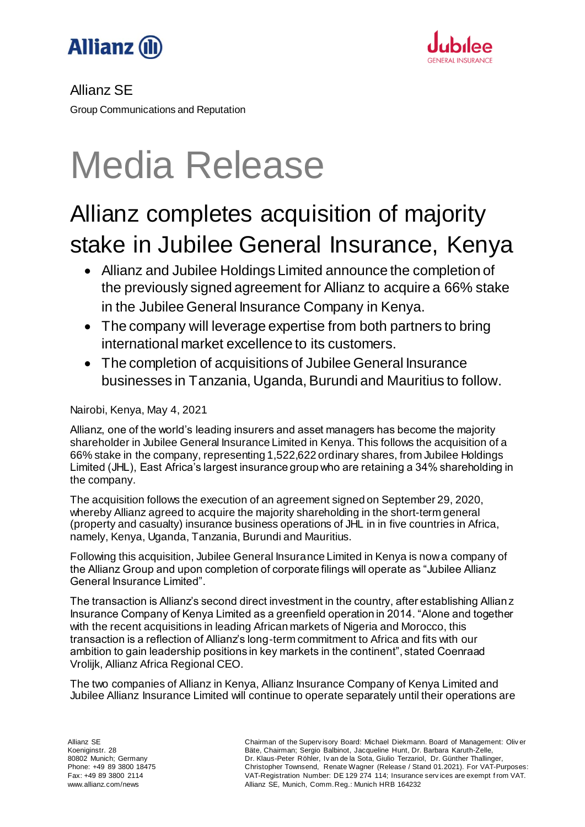



### Allianz SE

Group Communications and Reputation

# Media Release

## Allianz completes acquisition of majority stake in Jubilee General Insurance, Kenya

- Allianz and Jubilee Holdings Limited announce the completion of the previously signed agreement for Allianz to acquire a 66% stake in the Jubilee General Insurance Company in Kenya.
- The company will leverage expertise from both partners to bring international market excellence to its customers.
- The completion of acquisitions of Jubilee General Insurance businesses in Tanzania, Uganda, Burundi and Mauritius to follow.

Nairobi, Kenya, May 4, 2021

Allianz, one of the world's leading insurers and asset managers has become the majority shareholder in Jubilee General Insurance Limited in Kenya. This follows the acquisition of a 66% stake in the company, representing 1,522,622 ordinary shares, from Jubilee Holdings Limited (JHL), East Africa's largest insurance group who are retaining a 34% shareholding in the company.

The acquisition follows the execution of an agreement signed on September 29, 2020, whereby Allianz agreed to acquire the majority shareholding in the short-term general (property and casualty) insurance business operations of JHL in in five countries in Africa, namely, Kenya, Uganda, Tanzania, Burundi and Mauritius.

Following this acquisition, Jubilee General Insurance Limited in Kenya is now a company of the Allianz Group and upon completion of corporate filings will operate as "Jubilee Allianz General Insurance Limited".

The transaction is Allianz's second direct investment in the country, after establishing Allianz Insurance Company of Kenya Limited as a greenfield operation in 2014. "Alone and together with the recent acquisitions in leading African markets of Nigeria and Morocco, this transaction is a reflection of Allianz's long-term commitment to Africa and fits with our ambition to gain leadership positions in key markets in the continent", stated Coenraad Vrolijk, Allianz Africa Regional CEO.

The two companies of Allianz in Kenya, Allianz Insurance Company of Kenya Limited and Jubilee Allianz Insurance Limited will continue to operate separately until their operations are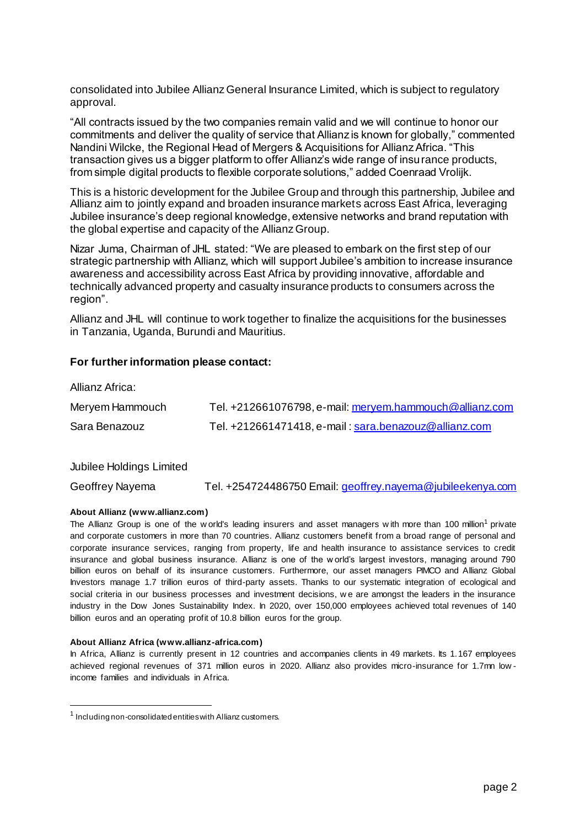consolidated into Jubilee Allianz General Insurance Limited, which is subject to regulatory approval.

"All contracts issued by the two companies remain valid and we will continue to honor our commitments and deliver the quality of service that Allianz is known for globally," commented Nandini Wilcke, the Regional Head of Mergers & Acquisitions for Allianz Africa. "This transaction gives us a bigger platform to offer Allianz's wide range of insurance products, from simple digital products to flexible corporate solutions," added Coenraad Vrolijk.

This is a historic development for the Jubilee Group and through this partnership, Jubilee and Allianz aim to jointly expand and broaden insurance markets across East Africa, leveraging Jubilee insurance's deep regional knowledge, extensive networks and brand reputation with the global expertise and capacity of the Allianz Group.

Nizar Juma, Chairman of JHL stated: "We are pleased to embark on the first step of our strategic partnership with Allianz, which will support Jubilee's ambition to increase insurance awareness and accessibility across East Africa by providing innovative, affordable and technically advanced property and casualty insurance products to consumers across the region".

Allianz and JHL will continue to work together to finalize the acquisitions for the businesses in Tanzania, Uganda, Burundi and Mauritius.

#### **For further information please contact:**

| Aliidi il Alfiud. |                                                         |
|-------------------|---------------------------------------------------------|
| Meryem Hammouch   | Tel. +212661076798, e-mail: mervem.hammouch@allianz.com |
| Sara Benazouz     | Tel. +212661471418, e-mail: sara.benazouz@allianz.com   |

Jubilee Holdings Limited

 $\Delta$ llianz  $\Delta f_{\text{rion}}$ 

-

Geoffrey Nayema Tel. +254724486750 Email[: geoffrey.nayema@jubileekenya.com](mailto:geoffrey.nayema@jubileekenya.com)

#### **About Allianz (www.allianz.com)**

The Allianz Group is one of the w orld's leading insurers and asset managers with more than 100 million<sup>1</sup> private and corporate customers in more than 70 countries. Allianz customers benefit from a broad range of personal and corporate insurance services, ranging from property, life and health insurance to assistance services to credit insurance and global business insurance. Allianz is one of the w orld's largest investors, managing around 790 billion euros on behalf of its insurance customers. Furthermore, our asset managers PIMCO and Allianz Global Investors manage 1.7 trillion euros of third-party assets. Thanks to our systematic integration of ecological and social criteria in our business processes and investment decisions, w e are amongst the leaders in the insurance industry in the Dow Jones Sustainability Index. In 2020, over 150,000 employees achieved total revenues of 140 billion euros and an operating profit of 10.8 billion euros for the group.

#### **About Allianz Africa (www.allianz-africa.com)**

In Africa, Allianz is currently present in 12 countries and accompanies clients in 49 markets. Its 1.167 employees achieved regional revenues of 371 million euros in 2020. Allianz also provides micro-insurance for 1.7mn low income families and individuals in Africa.

<sup>&</sup>lt;sup>1</sup> Including non-consolidated entities with Allianz customers.